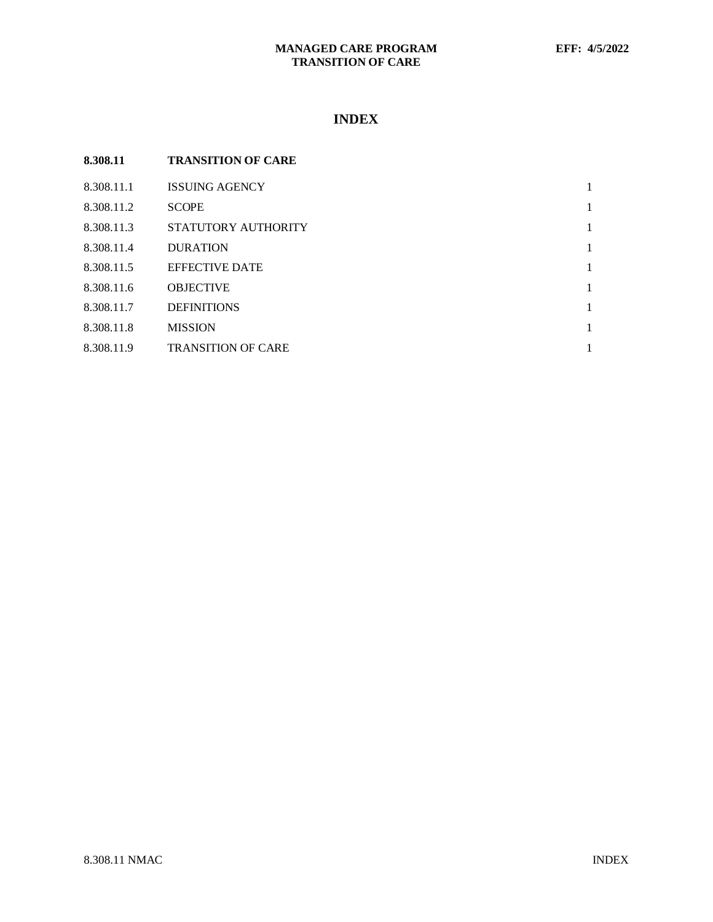## **MANAGED CARE PROGRAM EFF: 4/5/2022 TRANSITION OF CARE**

# **INDEX**

| 8.308.11   | <b>TRANSITION OF CARE</b> |   |
|------------|---------------------------|---|
| 8.308.11.1 | <b>ISSUING AGENCY</b>     | 1 |
| 8.308.11.2 | <b>SCOPE</b>              | 1 |
| 8.308.11.3 | STATUTORY AUTHORITY       | 1 |
| 8.308.11.4 | <b>DURATION</b>           | 1 |
| 8.308.11.5 | <b>EFFECTIVE DATE</b>     | 1 |
| 8.308.11.6 | <b>OBJECTIVE</b>          | 1 |
| 8.308.11.7 | <b>DEFINITIONS</b>        | 1 |
| 8.308.11.8 | <b>MISSION</b>            | 1 |
| 8.308.11.9 | <b>TRANSITION OF CARE</b> |   |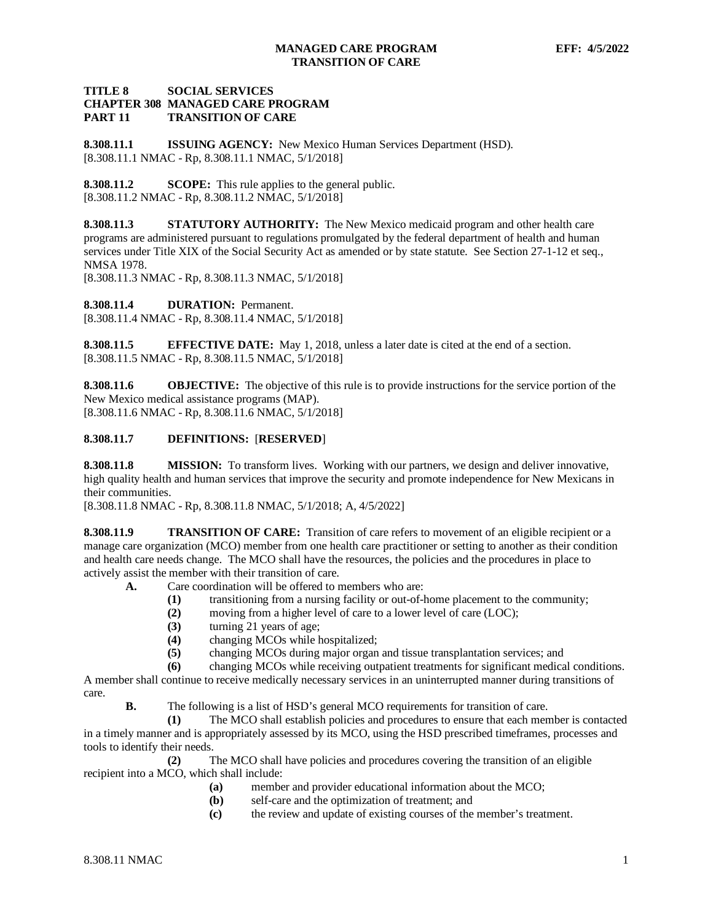#### **TITLE 8 SOCIAL SERVICES CHAPTER 308 MANAGED CARE PROGRAM TRANSITION OF CARE**

<span id="page-1-0"></span>**8.308.11.1 ISSUING AGENCY:** New Mexico Human Services Department (HSD). [8.308.11.1 NMAC - Rp, 8.308.11.1 NMAC, 5/1/2018]

<span id="page-1-1"></span>**8.308.11.2 SCOPE:** This rule applies to the general public. [8.308.11.2 NMAC - Rp, 8.308.11.2 NMAC, 5/1/2018]

<span id="page-1-2"></span>**8.308.11.3 STATUTORY AUTHORITY:** The New Mexico medicaid program and other health care programs are administered pursuant to regulations promulgated by the federal department of health and human services under Title XIX of the Social Security Act as amended or by state statute. See Section 27-1-12 et seq., NMSA 1978.

[8.308.11.3 NMAC - Rp, 8.308.11.3 NMAC, 5/1/2018]

<span id="page-1-3"></span>**8.308.11.4 DURATION:** Permanent. [8.308.11.4 NMAC - Rp, 8.308.11.4 NMAC, 5/1/2018]

<span id="page-1-4"></span>**8.308.11.5 EFFECTIVE DATE:** May 1, 2018, unless a later date is cited at the end of a section. [8.308.11.5 NMAC - Rp, 8.308.11.5 NMAC, 5/1/2018]

<span id="page-1-5"></span>**8.308.11.6 OBJECTIVE:** The objective of this rule is to provide instructions for the service portion of the New Mexico medical assistance programs (MAP). [8.308.11.6 NMAC - Rp, 8.308.11.6 NMAC, 5/1/2018]

#### <span id="page-1-6"></span>**8.308.11.7 DEFINITIONS:** [**RESERVED**]

<span id="page-1-7"></span>**8.308.11.8 MISSION:** To transform lives. Working with our partners, we design and deliver innovative, high quality health and human services that improve the security and promote independence for New Mexicans in their communities.

[8.308.11.8 NMAC - Rp, 8.308.11.8 NMAC, 5/1/2018; A, 4/5/2022]

<span id="page-1-8"></span>**8.308.11.9 TRANSITION OF CARE:** Transition of care refers to movement of an eligible recipient or a manage care organization (MCO) member from one health care practitioner or setting to another as their condition and health care needs change. The MCO shall have the resources, the policies and the procedures in place to actively assist the member with their transition of care.

- **A.** Care coordination will be offered to members who are:
	- **(1)** transitioning from a nursing facility or out-of-home placement to the community;
	- **(2)** moving from a higher level of care to a lower level of care (LOC);
	- **(3)** turning 21 years of age;
	- **(4)** changing MCOs while hospitalized;
		- **(5)** changing MCOs during major organ and tissue transplantation services; and

**(6)** changing MCOs while receiving outpatient treatments for significant medical conditions.

A member shall continue to receive medically necessary services in an uninterrupted manner during transitions of care.

**B.** The following is a list of HSD's general MCO requirements for transition of care.

**(1)** The MCO shall establish policies and procedures to ensure that each member is contacted in a timely manner and is appropriately assessed by its MCO, using the HSD prescribed timeframes, processes and tools to identify their needs.

**(2)** The MCO shall have policies and procedures covering the transition of an eligible recipient into a MCO, which shall include:

- **(a)** member and provider educational information about the MCO;
- self-care and the optimization of treatment; and
- **(c)** the review and update of existing courses of the member's treatment.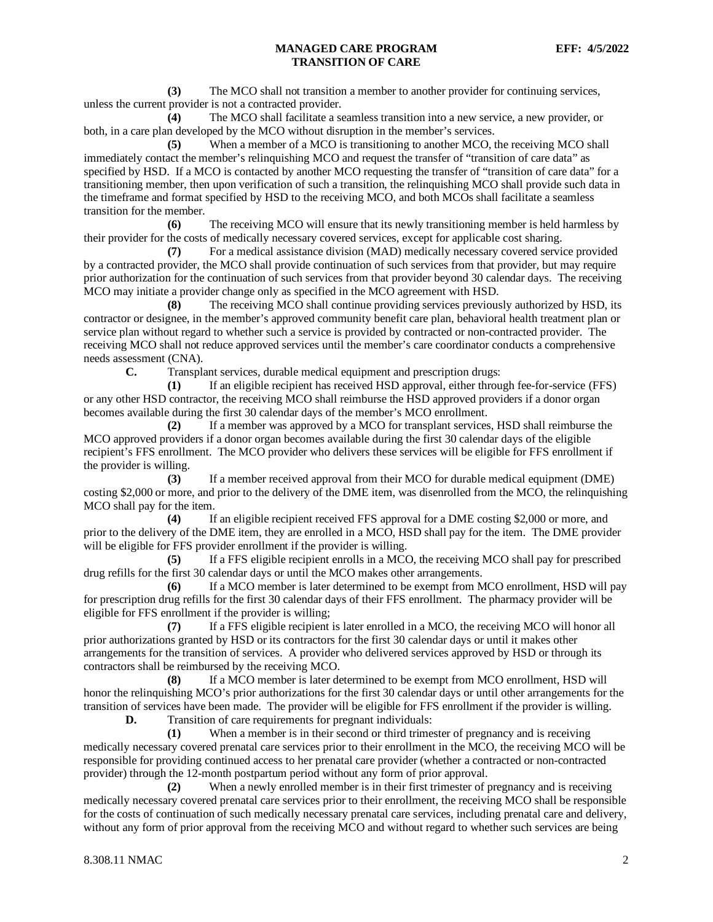**(3)** The MCO shall not transition a member to another provider for continuing services, unless the current provider is not a contracted provider.

**(4)** The MCO shall facilitate a seamless transition into a new service, a new provider, or both, in a care plan developed by the MCO without disruption in the member's services.

**(5)** When a member of a MCO is transitioning to another MCO, the receiving MCO shall immediately contact the member's relinquishing MCO and request the transfer of "transition of care data" as specified by HSD. If a MCO is contacted by another MCO requesting the transfer of "transition of care data" for a transitioning member, then upon verification of such a transition, the relinquishing MCO shall provide such data in the timeframe and format specified by HSD to the receiving MCO, and both MCOs shall facilitate a seamless transition for the member.

**(6)** The receiving MCO will ensure that its newly transitioning member is held harmless by their provider for the costs of medically necessary covered services, except for applicable cost sharing.

**(7)** For a medical assistance division (MAD) medically necessary covered service provided by a contracted provider, the MCO shall provide continuation of such services from that provider, but may require prior authorization for the continuation of such services from that provider beyond 30 calendar days. The receiving MCO may initiate a provider change only as specified in the MCO agreement with HSD.

**(8)** The receiving MCO shall continue providing services previously authorized by HSD, its contractor or designee, in the member's approved community benefit care plan, behavioral health treatment plan or service plan without regard to whether such a service is provided by contracted or non-contracted provider. The receiving MCO shall not reduce approved services until the member's care coordinator conducts a comprehensive needs assessment (CNA).

**C.** Transplant services, durable medical equipment and prescription drugs:

**(1)** If an eligible recipient has received HSD approval, either through fee-for-service (FFS) or any other HSD contractor, the receiving MCO shall reimburse the HSD approved providers if a donor organ becomes available during the first 30 calendar days of the member's MCO enrollment.

**(2)** If a member was approved by a MCO for transplant services, HSD shall reimburse the MCO approved providers if a donor organ becomes available during the first 30 calendar days of the eligible recipient's FFS enrollment. The MCO provider who delivers these services will be eligible for FFS enrollment if the provider is willing.

**(3)** If a member received approval from their MCO for durable medical equipment (DME) costing \$2,000 or more, and prior to the delivery of the DME item, was disenrolled from the MCO, the relinquishing MCO shall pay for the item.

**(4)** If an eligible recipient received FFS approval for a DME costing \$2,000 or more, and prior to the delivery of the DME item, they are enrolled in a MCO, HSD shall pay for the item. The DME provider will be eligible for FFS provider enrollment if the provider is willing.

**(5)** If a FFS eligible recipient enrolls in a MCO, the receiving MCO shall pay for prescribed drug refills for the first 30 calendar days or until the MCO makes other arrangements.

**(6)** If a MCO member is later determined to be exempt from MCO enrollment, HSD will pay for prescription drug refills for the first 30 calendar days of their FFS enrollment. The pharmacy provider will be eligible for FFS enrollment if the provider is willing;

**(7)** If a FFS eligible recipient is later enrolled in a MCO, the receiving MCO will honor all prior authorizations granted by HSD or its contractors for the first 30 calendar days or until it makes other arrangements for the transition of services. A provider who delivered services approved by HSD or through its contractors shall be reimbursed by the receiving MCO.

**(8)** If a MCO member is later determined to be exempt from MCO enrollment, HSD will honor the relinquishing MCO's prior authorizations for the first 30 calendar days or until other arrangements for the transition of services have been made. The provider will be eligible for FFS enrollment if the provider is willing.

**D.** Transition of care requirements for pregnant individuals:

**(1)** When a member is in their second or third trimester of pregnancy and is receiving medically necessary covered prenatal care services prior to their enrollment in the MCO, the receiving MCO will be responsible for providing continued access to her prenatal care provider (whether a contracted or non-contracted provider) through the 12-month postpartum period without any form of prior approval.

**(2)** When a newly enrolled member is in their first trimester of pregnancy and is receiving medically necessary covered prenatal care services prior to their enrollment, the receiving MCO shall be responsible for the costs of continuation of such medically necessary prenatal care services, including prenatal care and delivery, without any form of prior approval from the receiving MCO and without regard to whether such services are being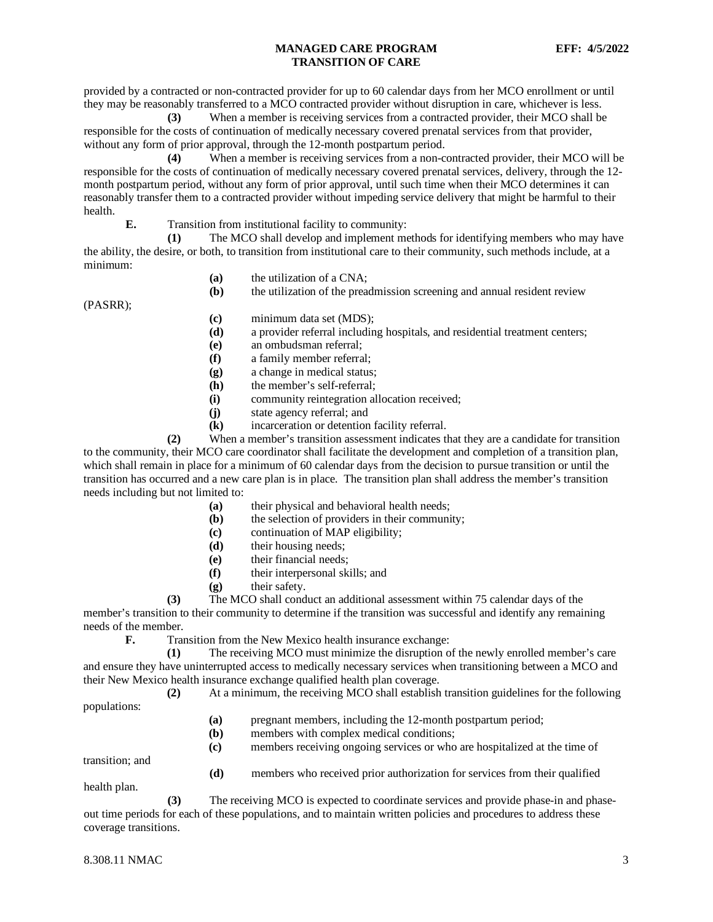### **MANAGED CARE PROGRAM EFF: 4/5/2022 TRANSITION OF CARE**

provided by a contracted or non-contracted provider for up to 60 calendar days from her MCO enrollment or until they may be reasonably transferred to a MCO contracted provider without disruption in care, whichever is less.

**(3)** When a member is receiving services from a contracted provider, their MCO shall be responsible for the costs of continuation of medically necessary covered prenatal services from that provider, without any form of prior approval, through the 12-month postpartum period.

**(4)** When a member is receiving services from a non-contracted provider, their MCO will be responsible for the costs of continuation of medically necessary covered prenatal services, delivery, through the 12 month postpartum period, without any form of prior approval, until such time when their MCO determines it can reasonably transfer them to a contracted provider without impeding service delivery that might be harmful to their health.

**E.** Transition from institutional facility to community:

**(1)** The MCO shall develop and implement methods for identifying members who may have the ability, the desire, or both, to transition from institutional care to their community, such methods include, at a minimum:

**(a)** the utilization of a CNA;

**(b)** the utilization of the preadmission screening and annual resident review

(PASRR);

- **(c)** minimum data set (MDS);
- **(d)** a provider referral including hospitals, and residential treatment centers;
- **(e)** an ombudsman referral;
- **(f)** a family member referral;
- **(g)** a change in medical status;
- **(h)** the member's self-referral;
- **(i)** community reintegration allocation received;
- **(j)** state agency referral; and
- **(k)** incarceration or detention facility referral.

**(2)** When a member's transition assessment indicates that they are a candidate for transition to the community, their MCO care coordinator shall facilitate the development and completion of a transition plan, which shall remain in place for a minimum of 60 calendar days from the decision to pursue transition or until the transition has occurred and a new care plan is in place. The transition plan shall address the member's transition needs including but not limited to:

- **(a)** their physical and behavioral health needs;
- **(b)** the selection of providers in their community;
- **(c)** continuation of MAP eligibility;
- **(d)** their housing needs;
- **(e)** their financial needs;
- **(f)** their interpersonal skills; and
- **(g)** their safety.
- **(3)** The MCO shall conduct an additional assessment within 75 calendar days of the

member's transition to their community to determine if the transition was successful and identify any remaining needs of the member.<br> **F.** Trai

Transition from the New Mexico health insurance exchange:

**(1)** The receiving MCO must minimize the disruption of the newly enrolled member's care and ensure they have uninterrupted access to medically necessary services when transitioning between a MCO and their New Mexico health insurance exchange qualified health plan coverage.

**(2)** At a minimum, the receiving MCO shall establish transition guidelines for the following

populations:

- **(a)** pregnant members, including the 12-month postpartum period;
- **(b)** members with complex medical conditions;
- **(c)** members receiving ongoing services or who are hospitalized at the time of

transition; and

**(d)** members who received prior authorization for services from their qualified

health plan.

**(3)** The receiving MCO is expected to coordinate services and provide phase-in and phaseout time periods for each of these populations, and to maintain written policies and procedures to address these coverage transitions.